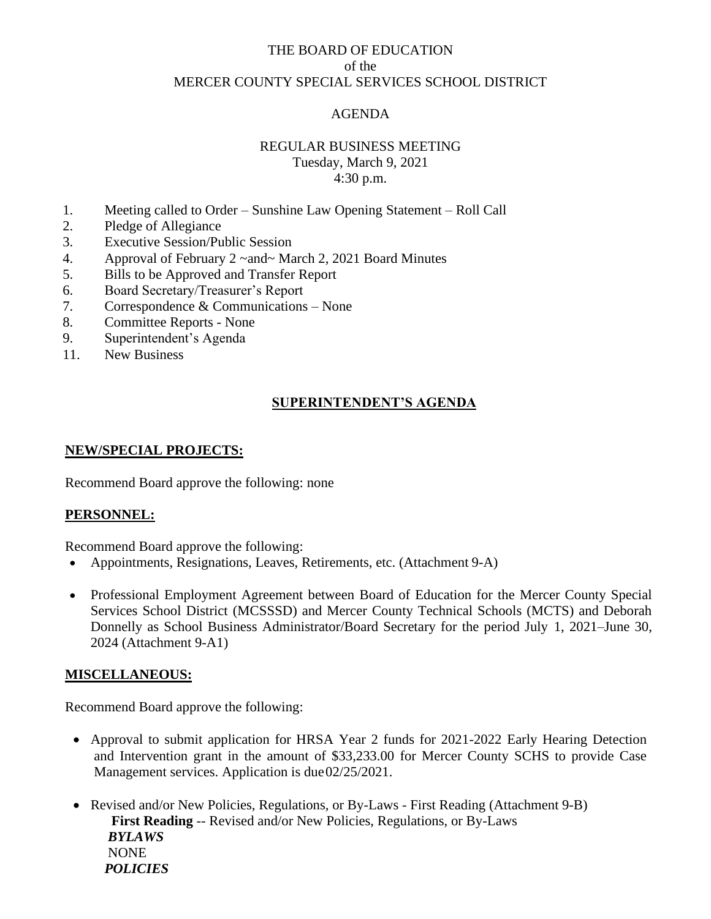# THE BOARD OF EDUCATION of the MERCER COUNTY SPECIAL SERVICES SCHOOL DISTRICT

## AGENDA

### REGULAR BUSINESS MEETING Tuesday, March 9, 2021

4:30 p.m.

- 1. Meeting called to Order Sunshine Law Opening Statement Roll Call
- 2. Pledge of Allegiance
- 3. Executive Session/Public Session
- 4. Approval of February 2 ~and~ March 2, 2021 Board Minutes
- 5. Bills to be Approved and Transfer Report
- 6. Board Secretary/Treasurer's Report
- 7. Correspondence & Communications None
- 8. Committee Reports None
- 9. Superintendent's Agenda
- 11. New Business

### **SUPERINTENDENT'S AGENDA**

#### **NEW/SPECIAL PROJECTS:**

Recommend Board approve the following: none

#### **PERSONNEL:**

Recommend Board approve the following:

- Appointments, Resignations, Leaves, Retirements, etc. (Attachment 9-A)
- Professional Employment Agreement between Board of Education for the Mercer County Special Services School District (MCSSSD) and Mercer County Technical Schools (MCTS) and Deborah Donnelly as School Business Administrator/Board Secretary for the period July 1, 2021–June 30, 2024 (Attachment 9-A1)

### **MISCELLANEOUS:**

Recommend Board approve the following:

- Approval to submit application for HRSA Year 2 funds for 2021-2022 Early Hearing Detection and Intervention grant in the amount of \$33,233.00 for Mercer County SCHS to provide Case Management services. Application is due02/25/2021.
- Revised and/or New Policies, Regulations, or By-Laws First Reading (Attachment 9-B) **First Reading** -- Revised and/or New Policies, Regulations, or By-Laws *BYLAWS* NONE *POLICIES*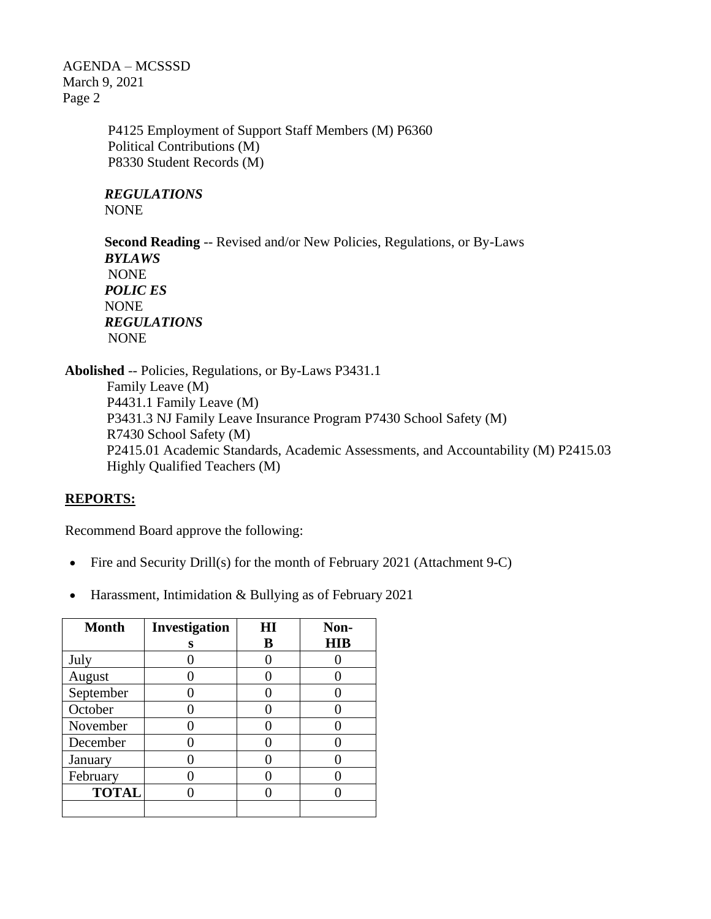AGENDA – MCSSSD March 9, 2021 Page 2

> P4125 Employment of Support Staff Members (M) P6360 Political Contributions (M) P8330 Student Records (M)

*REGULATIONS* NONE

**Second Reading** -- Revised and/or New Policies, Regulations, or By-Laws *BYLAWS* NONE *POLIC ES* NONE *REGULATIONS* NONE

**Abolished** -- Policies, Regulations, or By-Laws P3431.1 Family Leave (M) P4431.1 Family Leave (M) P3431.3 NJ Family Leave Insurance Program P7430 School Safety (M) R7430 School Safety (M) P2415.01 Academic Standards, Academic Assessments, and Accountability (M) P2415.03 Highly Qualified Teachers (M)

### **REPORTS:**

Recommend Board approve the following:

- Fire and Security Drill(s) for the month of February 2021 (Attachment 9-C)
- Harassment, Intimidation & Bullying as of February 2021

| <b>Month</b> | Investigation | HI | Non-       |  |
|--------------|---------------|----|------------|--|
|              | s             | В  | <b>HIB</b> |  |
| July         |               |    |            |  |
| August       |               |    |            |  |
| September    |               |    |            |  |
| October      |               |    |            |  |
| November     |               |    |            |  |
| December     |               |    |            |  |
| January      |               |    |            |  |
| February     |               |    |            |  |
| <b>TOTAL</b> |               |    |            |  |
|              |               |    |            |  |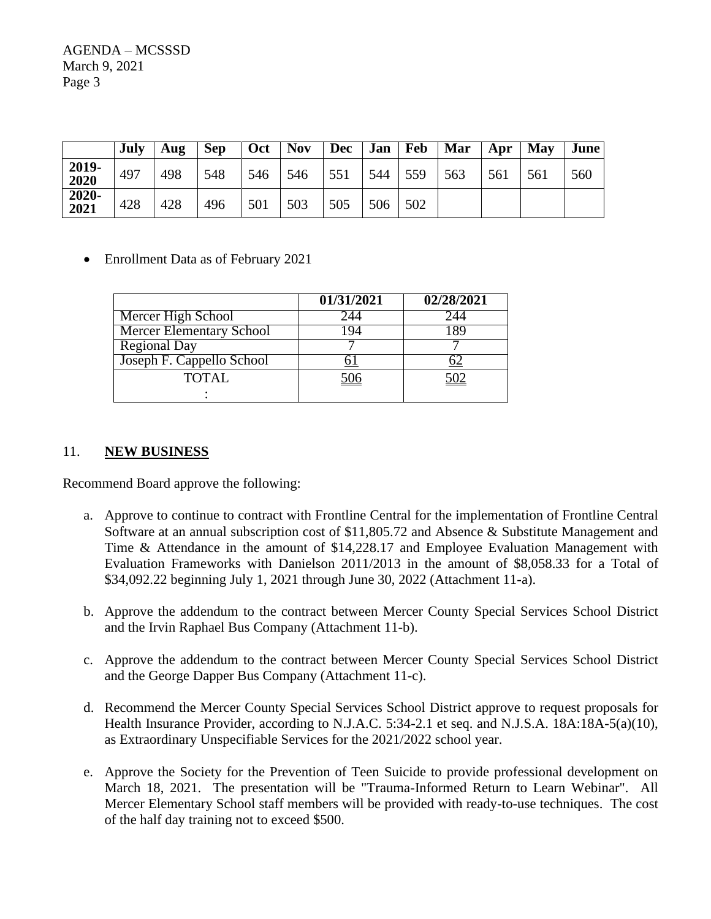AGENDA – MCSSSD March 9, 2021 Page 3

|               | July | Aug | Sep | Oct | <b>Nov</b> | <b>Dec</b> | Jan | Feb | Mar | Apr | May | June |
|---------------|------|-----|-----|-----|------------|------------|-----|-----|-----|-----|-----|------|
| 2019-<br>2020 | 497  | 498 | 548 | 546 | 546        | 551        | 544 | 559 | 563 | 561 | 561 | 560  |
| 2020-<br>2021 | 428  | 428 | 496 | 501 | 503        | 505        | 506 | 502 |     |     |     |      |

### • Enrollment Data as of February 2021

|                                 | 01/31/2021 | 02/28/2021 |
|---------------------------------|------------|------------|
| Mercer High School              |            |            |
| <b>Mercer Elementary School</b> |            |            |
| <b>Regional Day</b>             |            |            |
| Joseph F. Cappello School       |            |            |
| <b>TOTAL</b>                    | <u>506</u> | 502        |
|                                 |            |            |

#### 11. **NEW BUSINESS**

Recommend Board approve the following:

- a. Approve to continue to contract with Frontline Central for the implementation of Frontline Central Software at an annual subscription cost of \$11,805.72 and Absence & Substitute Management and Time & Attendance in the amount of \$14,228.17 and Employee Evaluation Management with Evaluation Frameworks with Danielson 2011/2013 in the amount of \$8,058.33 for a Total of \$34,092.22 beginning July 1, 2021 through June 30, 2022 (Attachment 11-a).
- b. Approve the addendum to the contract between Mercer County Special Services School District and the Irvin Raphael Bus Company (Attachment 11-b).
- c. Approve the addendum to the contract between Mercer County Special Services School District and the George Dapper Bus Company (Attachment 11-c).
- d. Recommend the Mercer County Special Services School District approve to request proposals for Health Insurance Provider, according to N.J.A.C. 5:34-2.1 et seq. and N.J.S.A. 18A:18A-5(a)(10), as Extraordinary Unspecifiable Services for the 2021/2022 school year.
- e. Approve the Society for the Prevention of Teen Suicide to provide professional development on March 18, 2021. The presentation will be "Trauma-Informed Return to Learn Webinar". All Mercer Elementary School staff members will be provided with ready-to-use techniques. The cost of the half day training not to exceed \$500.